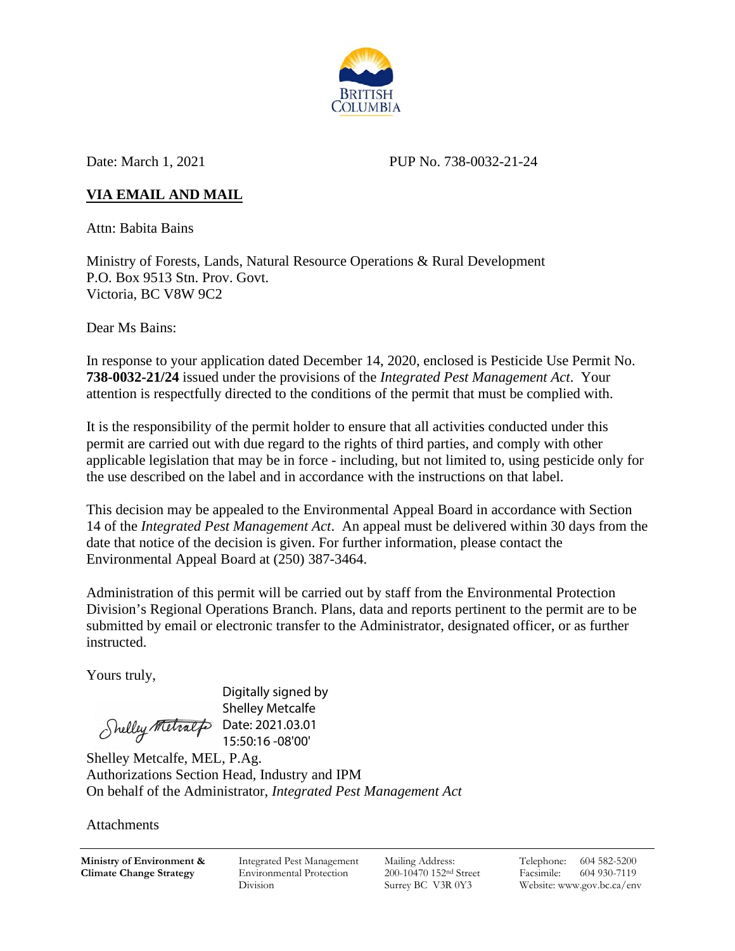

Date: March 1, 2021 PUP No. 738-0032-21-24

# **VIA EMAIL AND MAIL**

Attn: Babita Bains

Ministry of Forests, Lands, Natural Resource Operations & Rural Development P.O. Box 9513 Stn. Prov. Govt. Victoria, BC V8W 9C2

Dear Ms Bains:

In response to your application dated December 14, 2020, enclosed is Pesticide Use Permit No. **738-0032-21/24** issued under the provisions of the *Integrated Pest Management Act*. Your attention is respectfully directed to the conditions of the permit that must be complied with.

It is the responsibility of the permit holder to ensure that all activities conducted under this permit are carried out with due regard to the rights of third parties, and comply with other applicable legislation that may be in force - including, but not limited to, using pesticide only for the use described on the label and in accordance with the instructions on that label.

This decision may be appealed to the Environmental Appeal Board in accordance with Section 14 of the *Integrated Pest Management Act*. An appeal must be delivered within 30 days from the date that notice of the decision is given. For further information, please contact the Environmental Appeal Board at (250) 387-3464.

Administration of this permit will be carried out by staff from the Environmental Protection Division's Regional Operations Branch. Plans, data and reports pertinent to the permit are to be submitted by email or electronic transfer to the Administrator, designated officer, or as further instructed.

Yours truly,

Shelley Metralfo Date: 2021.03.01

Digitally signed by Shelley Metcalfe 15:50:16 -08'00'

Shelley Metcalfe, MEL, P.Ag. Authorizations Section Head, Industry and IPM On behalf of the Administrator, *Integrated Pest Management Act*

Attachments

**Ministry of Environment & Climate Change Strategy**

Integrated Pest Management Environmental Protection Division

Mailing Address: 200-10470 152nd Street Surrey BC V3R 0Y3

Telephone: 604 582-5200 Facsimile: 604 930-7119 Website: www.gov.bc.ca/env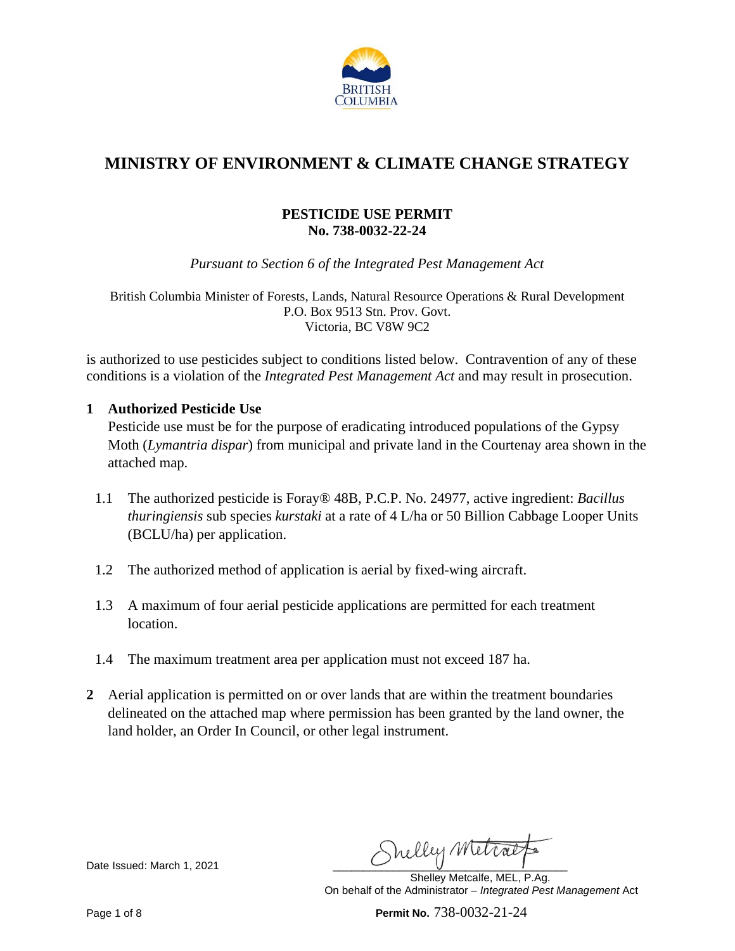

# **MINISTRY OF ENVIRONMENT & CLIMATE CHANGE STRATEGY**

# **PESTICIDE USE PERMIT No. 738-0032-22-24**

*Pursuant to Section 6 of the Integrated Pest Management Act* 

British Columbia Minister of Forests, Lands, Natural Resource Operations & Rural Development P.O. Box 9513 Stn. Prov. Govt. Victoria, BC V8W 9C2

is authorized to use pesticides subject to conditions listed below. Contravention of any of these conditions is a violation of the *Integrated Pest Management Act* and may result in prosecution.

#### **1 Authorized Pesticide Use**

Pesticide use must be for the purpose of eradicating introduced populations of the Gypsy Moth (*Lymantria dispar*) from municipal and private land in the Courtenay area shown in the attached map.

- 1.1 The authorized pesticide is Foray® 48B, P.C.P. No. 24977, active ingredient: *Bacillus thuringiensis* sub species *kurstaki* at a rate of 4 L/ha or 50 Billion Cabbage Looper Units (BCLU/ha) per application.
- 1.2 The authorized method of application is aerial by fixed-wing aircraft.
- 1.3 A maximum of four aerial pesticide applications are permitted for each treatment location.
- 1.4 The maximum treatment area per application must not exceed 187 ha.
- **2** Aerial application is permitted on or over lands that are within the treatment boundaries delineated on the attached map where permission has been granted by the land owner, the land holder, an Order In Council, or other legal instrument.

Date Issued: March 1, 2021 Chelly Metrat

Shelley Metcalfe, MEL, P.Ag. On behalf of the Administrator – *Integrated Pest Management* Act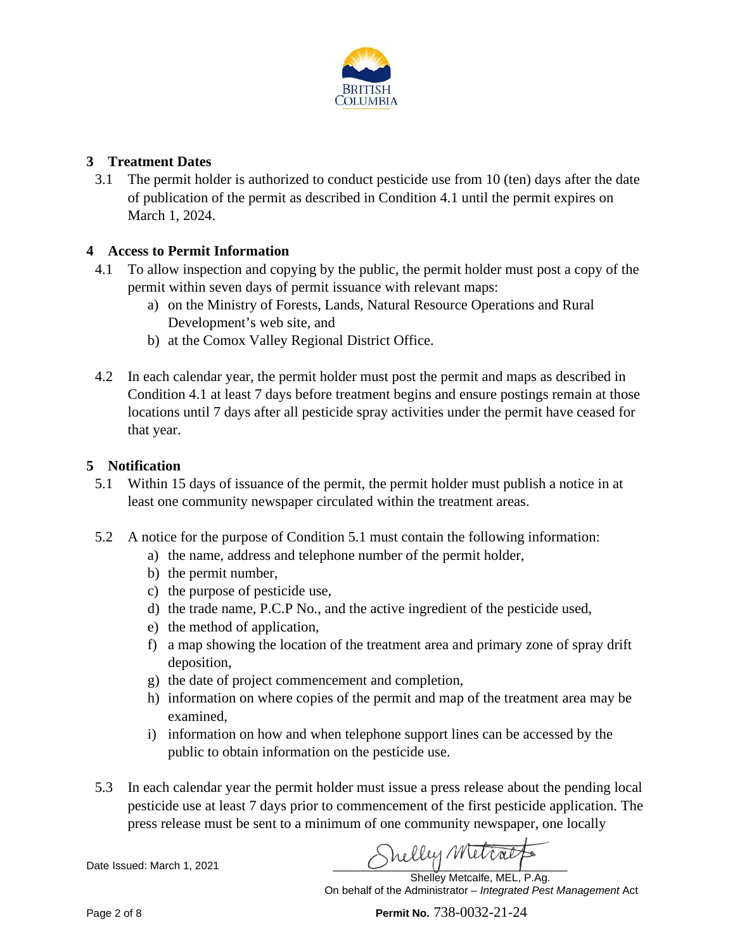

# **3 Treatment Dates**

3.1 The permit holder is authorized to conduct pesticide use from 10 (ten) days after the date of publication of the permit as described in Condition 4.1 until the permit expires on March 1, 2024.

# **4 Access to Permit Information**

- 4.1 To allow inspection and copying by the public, the permit holder must post a copy of the permit within seven days of permit issuance with relevant maps:
	- a) on the Ministry of Forests, Lands, Natural Resource Operations and Rural Development's web site, and
	- b) at the Comox Valley Regional District Office.
- 4.2 In each calendar year, the permit holder must post the permit and maps as described in Condition 4.1 at least 7 days before treatment begins and ensure postings remain at those locations until 7 days after all pesticide spray activities under the permit have ceased for that year.

#### **5 Notification**

- 5.1 Within 15 days of issuance of the permit, the permit holder must publish a notice in at least one community newspaper circulated within the treatment areas.
- 5.2 A notice for the purpose of Condition 5.1 must contain the following information:
	- a) the name, address and telephone number of the permit holder,
	- b) the permit number,
	- c) the purpose of pesticide use,
	- d) the trade name, P.C.P No., and the active ingredient of the pesticide used,
	- e) the method of application,
	- f) a map showing the location of the treatment area and primary zone of spray drift deposition,
	- g) the date of project commencement and completion,
	- h) information on where copies of the permit and map of the treatment area may be examined,
	- i) information on how and when telephone support lines can be accessed by the public to obtain information on the pesticide use.
- 5.3 In each calendar year the permit holder must issue a press release about the pending local pesticide use at least 7 days prior to commencement of the first pesticide application. The press release must be sent to a minimum of one community newspaper, one locally

Date Issued: March 1, 2021 **Ally Metral** Shelley Metcalfe, MEL, P.Ag.

On behalf of the Administrator – *Integrated Pest Management* Act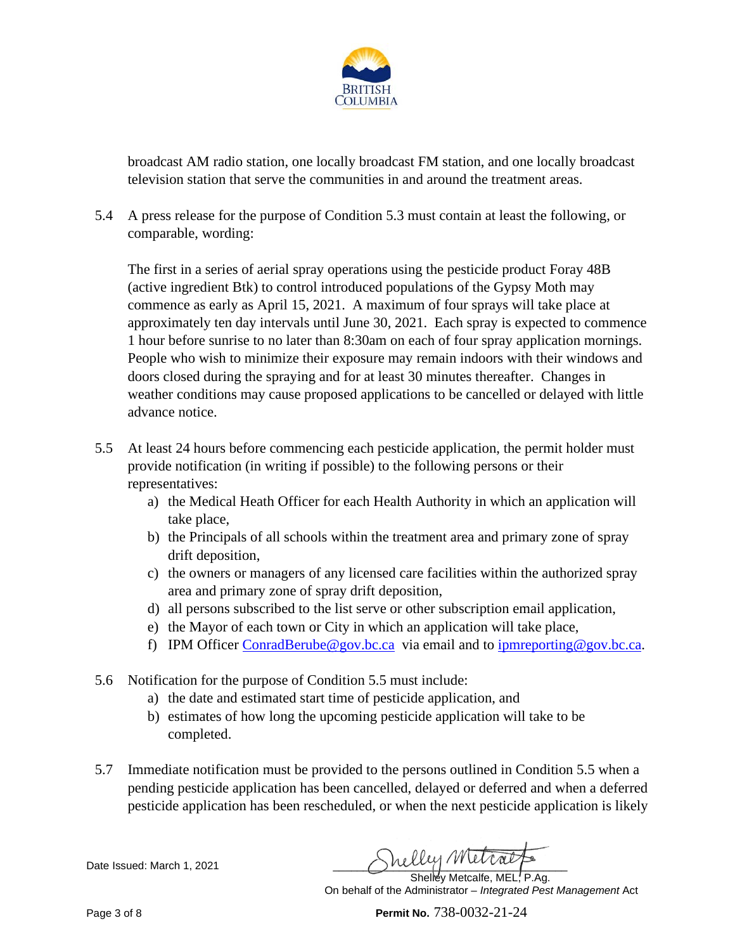

broadcast AM radio station, one locally broadcast FM station, and one locally broadcast television station that serve the communities in and around the treatment areas.

5.4 A press release for the purpose of Condition 5.3 must contain at least the following, or comparable, wording:

The first in a series of aerial spray operations using the pesticide product Foray 48B (active ingredient Btk) to control introduced populations of the Gypsy Moth may commence as early as April 15, 2021. A maximum of four sprays will take place at approximately ten day intervals until June 30, 2021. Each spray is expected to commence 1 hour before sunrise to no later than 8:30am on each of four spray application mornings. People who wish to minimize their exposure may remain indoors with their windows and doors closed during the spraying and for at least 30 minutes thereafter. Changes in weather conditions may cause proposed applications to be cancelled or delayed with little advance notice.

- 5.5 At least 24 hours before commencing each pesticide application, the permit holder must provide notification (in writing if possible) to the following persons or their representatives:
	- a) the Medical Heath Officer for each Health Authority in which an application will take place,
	- b) the Principals of all schools within the treatment area and primary zone of spray drift deposition,
	- c) the owners or managers of any licensed care facilities within the authorized spray area and primary zone of spray drift deposition,
	- d) all persons subscribed to the list serve or other subscription email application,
	- e) the Mayor of each town or City in which an application will take place,
	- f) IPM Officer [ConradBerube@gov.bc.ca](mailto:ConradBerube@gov.bc.ca) via email and to [ipmreporting@gov.bc.ca.](mailto:ipmreporting@gov.bc.ca)
- 5.6 Notification for the purpose of Condition 5.5 must include:
	- a) the date and estimated start time of pesticide application, and
	- b) estimates of how long the upcoming pesticide application will take to be completed.
- 5.7 Immediate notification must be provided to the persons outlined in Condition 5.5 when a pending pesticide application has been cancelled, delayed or deferred and when a deferred pesticide application has been rescheduled, or when the next pesticide application is likely

Date Issued: March 1, 2021 Chate Issued: March 1, 2021 Shelley Metcalfe, MEL, P.Ag.

On behalf of the Administrator – *Integrated Pest Management* Act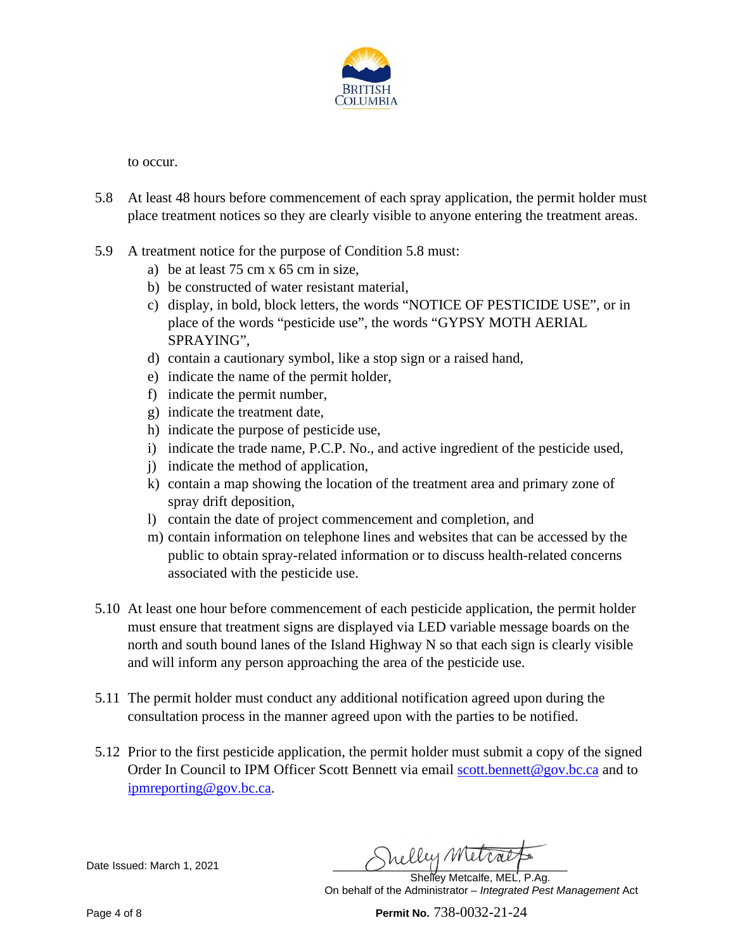

to occur.

- 5.8 At least 48 hours before commencement of each spray application, the permit holder must place treatment notices so they are clearly visible to anyone entering the treatment areas.
- 5.9 A treatment notice for the purpose of Condition 5.8 must:
	- a) be at least 75 cm x 65 cm in size,
	- b) be constructed of water resistant material,
	- c) display, in bold, block letters, the words "NOTICE OF PESTICIDE USE", or in place of the words "pesticide use", the words "GYPSY MOTH AERIAL SPRAYING",
	- d) contain a cautionary symbol, like a stop sign or a raised hand,
	- e) indicate the name of the permit holder,
	- f) indicate the permit number,
	- g) indicate the treatment date,
	- h) indicate the purpose of pesticide use,
	- i) indicate the trade name, P.C.P. No., and active ingredient of the pesticide used,
	- j) indicate the method of application,
	- k) contain a map showing the location of the treatment area and primary zone of spray drift deposition,
	- l) contain the date of project commencement and completion, and
	- m) contain information on telephone lines and websites that can be accessed by the public to obtain spray-related information or to discuss health-related concerns associated with the pesticide use.
- 5.10 At least one hour before commencement of each pesticide application, the permit holder must ensure that treatment signs are displayed via LED variable message boards on the north and south bound lanes of the Island Highway N so that each sign is clearly visible and will inform any person approaching the area of the pesticide use.
- 5.11 The permit holder must conduct any additional notification agreed upon during the consultation process in the manner agreed upon with the parties to be notified.
- 5.12 Prior to the first pesticide application, the permit holder must submit a copy of the signed Order In Council to IPM Officer Scott Bennett via email [scott.bennett@gov.bc.ca](mailto:scott.bennett@gov.bc.ca) and to [ipmreporting@gov.bc.ca.](mailto:ipmreporting@gov.bc.ca)

Date Issued: March 1, 2021 **Shelly Metral** 

Shelley Metcalfe, MEL, P.Ag. On behalf of the Administrator – *Integrated Pest Management* Act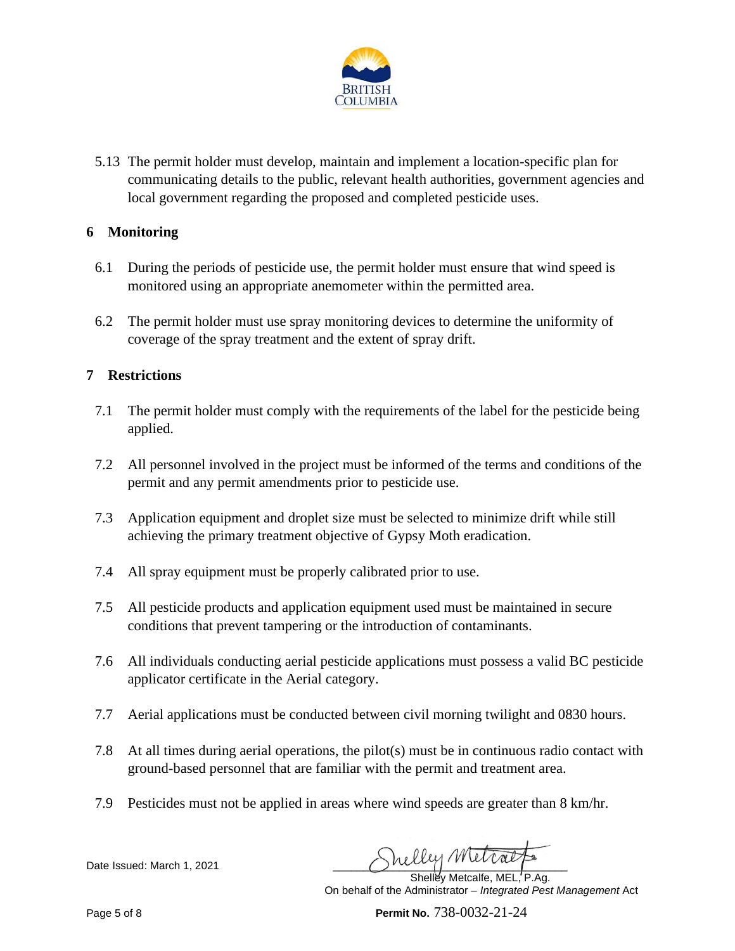

5.13 The permit holder must develop, maintain and implement a location-specific plan for communicating details to the public, relevant health authorities, government agencies and local government regarding the proposed and completed pesticide uses.

#### **6 Monitoring**

- 6.1 During the periods of pesticide use, the permit holder must ensure that wind speed is monitored using an appropriate anemometer within the permitted area.
- 6.2 The permit holder must use spray monitoring devices to determine the uniformity of coverage of the spray treatment and the extent of spray drift.

# **7 Restrictions**

- 7.1 The permit holder must comply with the requirements of the label for the pesticide being applied.
- 7.2 All personnel involved in the project must be informed of the terms and conditions of the permit and any permit amendments prior to pesticide use.
- 7.3 Application equipment and droplet size must be selected to minimize drift while still achieving the primary treatment objective of Gypsy Moth eradication.
- 7.4 All spray equipment must be properly calibrated prior to use.
- 7.5 All pesticide products and application equipment used must be maintained in secure conditions that prevent tampering or the introduction of contaminants.
- 7.6 All individuals conducting aerial pesticide applications must possess a valid BC pesticide applicator certificate in the Aerial category.
- 7.7 Aerial applications must be conducted between civil morning twilight and 0830 hours.
- 7.8 At all times during aerial operations, the pilot(s) must be in continuous radio contact with ground-based personnel that are familiar with the permit and treatment area.
- 7.9 Pesticides must not be applied in areas where wind speeds are greater than 8 km/hr.

Date Issued: March 1, 2021 Chelly Metral

Shelley Metcalfe, MEL, P.Ag. On behalf of the Administrator – *Integrated Pest Management* Act

Page 5 of 8 **Permit No.** 738-0032-21-24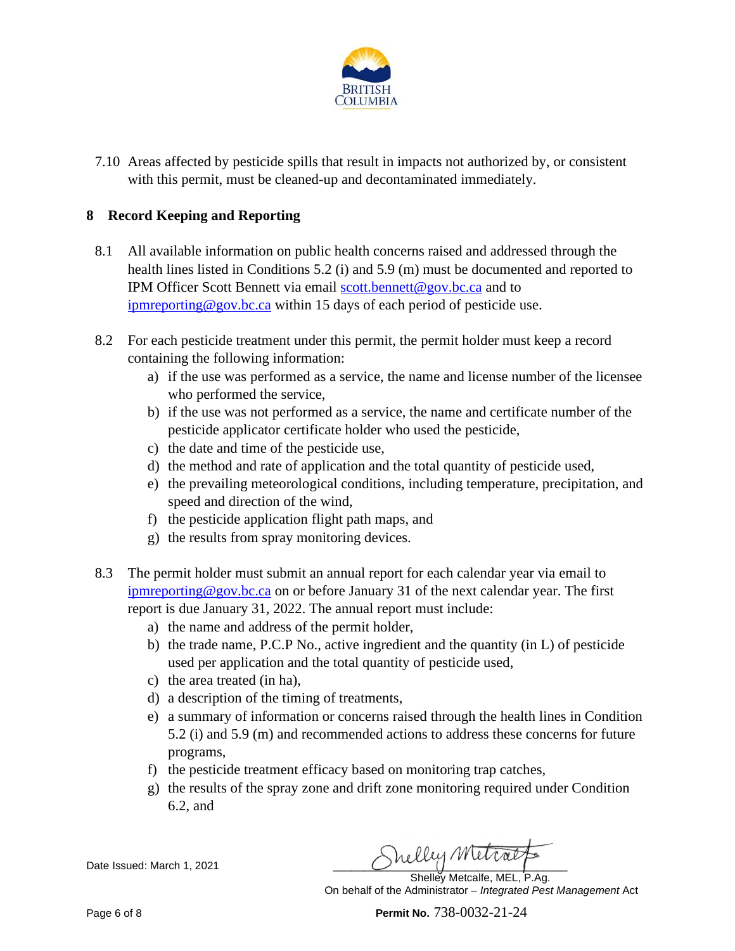

7.10 Areas affected by pesticide spills that result in impacts not authorized by, or consistent with this permit, must be cleaned-up and decontaminated immediately.

# **8 Record Keeping and Reporting**

- 8.1 All available information on public health concerns raised and addressed through the health lines listed in Conditions 5.2 (i) and 5.9 (m) must be documented and reported to IPM Officer Scott Bennett via email [scott.bennett@gov.bc.ca](mailto:scott.bennett@gov.bc.ca) and to [ipmreporting@gov.bc.ca](mailto:ipmreporting@gov.bc.ca) within 15 days of each period of pesticide use.
- 8.2 For each pesticide treatment under this permit, the permit holder must keep a record containing the following information:
	- a) if the use was performed as a service, the name and license number of the licensee who performed the service,
	- b) if the use was not performed as a service, the name and certificate number of the pesticide applicator certificate holder who used the pesticide,
	- c) the date and time of the pesticide use,
	- d) the method and rate of application and the total quantity of pesticide used,
	- e) the prevailing meteorological conditions, including temperature, precipitation, and speed and direction of the wind,
	- f) the pesticide application flight path maps, and
	- g) the results from spray monitoring devices.
- 8.3 The permit holder must submit an annual report for each calendar year via email to [ipmreporting@gov.bc.ca](mailto:ipmreporting@gov.bc.ca) on or before January 31 of the next calendar year. The first report is due January 31, 2022. The annual report must include:
	- a) the name and address of the permit holder,
	- b) the trade name, P.C.P No., active ingredient and the quantity (in L) of pesticide used per application and the total quantity of pesticide used,
	- c) the area treated (in ha),
	- d) a description of the timing of treatments,
	- e) a summary of information or concerns raised through the health lines in Condition 5.2 (i) and 5.9 (m) and recommended actions to address these concerns for future programs,
	- f) the pesticide treatment efficacy based on monitoring trap catches,
	- g) the results of the spray zone and drift zone monitoring required under Condition 6.2, and

Date Issued: March 1, 2021 \_\_\_\_\_\_\_\_\_\_\_\_\_\_\_\_\_\_\_\_\_\_\_\_\_\_\_\_\_\_\_\_\_\_\_\_\_\_\_

Shelley Metcalfe, MEL, P.Ag. On behalf of the Administrator – *Integrated Pest Management* Act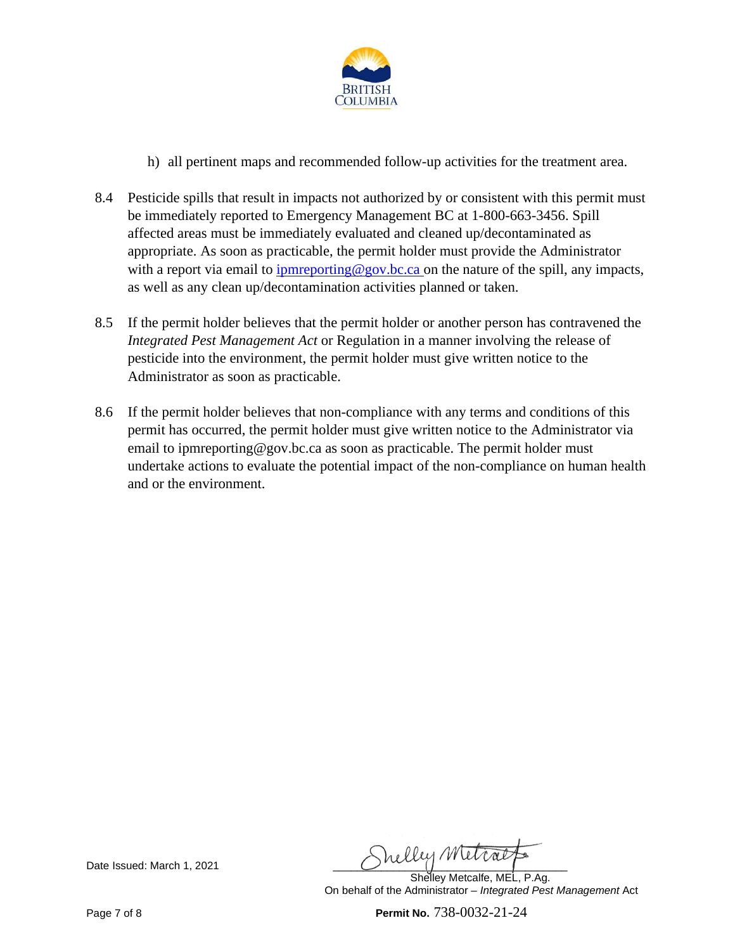

- h) all pertinent maps and recommended follow-up activities for the treatment area.
- 8.4 Pesticide spills that result in impacts not authorized by or consistent with this permit must be immediately reported to Emergency Management BC at 1-800-663-3456. Spill affected areas must be immediately evaluated and cleaned up/decontaminated as appropriate. As soon as practicable, the permit holder must provide the Administrator with a report via email to [ipmreporting@gov.bc.ca](mailto:ipmreporting@gov.bc.ca) on the nature of the spill, any impacts, as well as any clean up/decontamination activities planned or taken.
- 8.5 If the permit holder believes that the permit holder or another person has contravened the *Integrated Pest Management Act* or Regulation in a manner involving the release of pesticide into the environment, the permit holder must give written notice to the Administrator as soon as practicable.
- 8.6 If the permit holder believes that non-compliance with any terms and conditions of this permit has occurred, the permit holder must give written notice to the Administrator via email to ipmreporting@gov.bc.ca as soon as practicable. The permit holder must undertake actions to evaluate the potential impact of the non-compliance on human health and or the environment.

Date Issued: March 1, 2021 **Shelly Metral** 

Shelley Metcalfe, MEL, P.Ag. On behalf of the Administrator – *Integrated Pest Management* Act